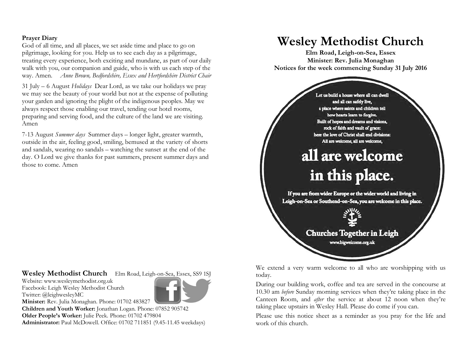### **Prayer Diary**

God of all time, and all places, we set aside time and place to go on pilgrimage, looking for you. Help us to see each day as a pilgrimage, treating every experience, both exciting and mundane, as part of our daily walk with you, our companion and guide, who is with us each step of the way. Amen. *Anne Brown, Bedfordshire, Essex and Hertfordshire District Chair*

31 July – 6 August *Holidays* Dear Lord, as we take our holidays we pray we may see the beauty of your world but not at the expense of polluting your garden and ignoring the plight of the indigenous peoples. May we always respect those enabling our travel, tending our hotel rooms, preparing and serving food, and the culture of the land we are visiting. Amen

7-13 August *Summer days* Summer days – longer light, greater warmth, outside in the air, feeling good, smiling, bemused at the variety of shorts and sandals, wearing no sandals – watching the sunset at the end of the day. O Lord we give thanks for past summers, present summer days and those to come. Amen

## **Wesley Methodist Church** Elm Road, Leigh-on-Sea, Essex, SS9 1SJ

Website: www.wesleymethodist.org.uk Facebook: Leigh Wesley Methodist Church Twitter: @leighwesleyMC



**Minister:** Rev. Julia Monaghan. Phone: 01702 483827 **Children and Youth Worker:** Jonathan Logan. Phone: 07852 905742 **Older People's Worker:** Julie Peek. Phone: 01702 479804 **Administrator:** Paul McDowell. Office: 01702 711851 (9.45-11.45 weekdays)

# **Wesley Methodist Church**

**Elm Road, Leigh-on-Sea, Essex Minister: Rev. Julia Monaghan Notices for the week commencing Sunday 31 July 2016**



We extend a very warm welcome to all who are worshipping with us today.

During our building work, coffee and tea are served in the concourse at 10.30 am *before* Sunday morning services when they're taking place in the Canteen Room, and *after* the service at about 12 noon when they're taking place upstairs in Wesley Hall. Please do come if you can.

Please use this notice sheet as a reminder as you pray for the life and work of this church.